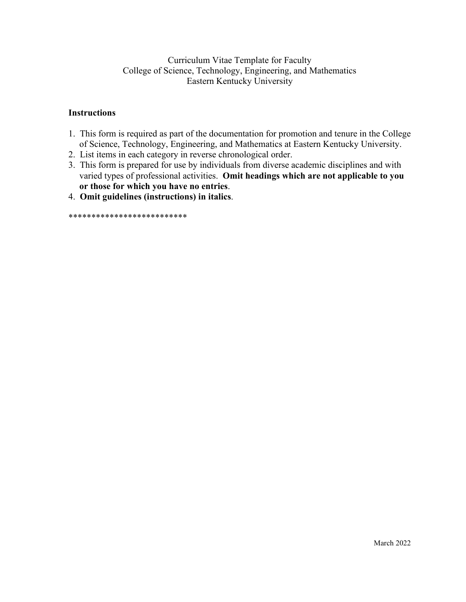# Curriculum Vitae Template for Faculty College of Science, Technology, Engineering, and Mathematics Eastern Kentucky University

# **Instructions**

- 1. This form is required as part of the documentation for promotion and tenure in the College of Science, Technology, Engineering, and Mathematics at Eastern Kentucky University.
- 2. List items in each category in reverse chronological order.
- 3. This form is prepared for use by individuals from diverse academic disciplines and with varied types of professional activities. Omit headings which are not applicable to you or those for which you have no entries.
- 4. Omit guidelines (instructions) in italics.

\*\*\*\*\*\*\*\*\*\*\*\*\*\*\*\*\*\*\*\*\*\*\*\*\*\*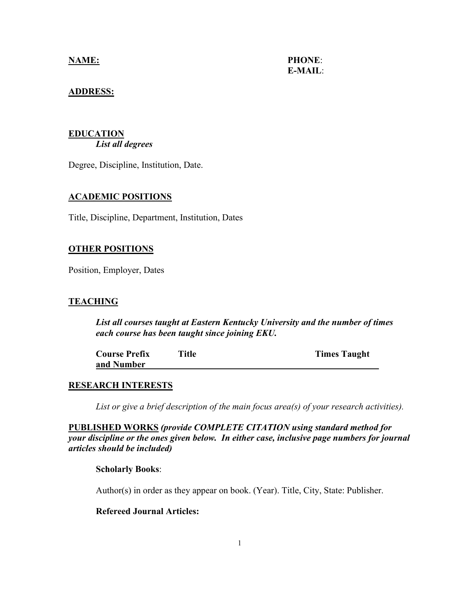**NAME: PHONE**: **E-MAIL**:

# **ADDRESS:**

## **EDUCATION** *List all degrees*

Degree, Discipline, Institution, Date.

## **ACADEMIC POSITIONS**

Title, Discipline, Department, Institution, Dates

## **OTHER POSITIONS**

Position, Employer, Dates

## **TEACHING**

*List all courses taught at Eastern Kentucky University and the number of times each course has been taught since joining EKU.*

| <b>Course Prefix</b> | <b>Title</b> | <b>Times Taught</b> |
|----------------------|--------------|---------------------|
| and Number           |              |                     |

## **RESEARCH INTERESTS**

*List or give a brief description of the main focus area(s) of your research activities).*

**PUBLISHED WORKS** *(provide COMPLETE CITATION using standard method for your discipline or the ones given below. In either case, inclusive page numbers for journal articles should be included)*

## **Scholarly Books**:

Author(s) in order as they appear on book. (Year). Title, City, State: Publisher.

# **Refereed Journal Articles:**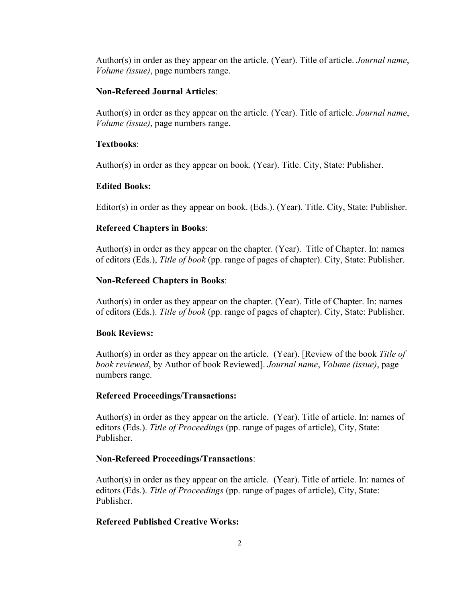Author(s) in order as they appear on the article. (Year). Title of article. *Journal name*, *Volume (issue)*, page numbers range.

### **Non-Refereed Journal Articles**:

Author(s) in order as they appear on the article. (Year). Title of article. *Journal name*, *Volume (issue)*, page numbers range.

### **Textbooks**:

Author(s) in order as they appear on book. (Year). Title. City, State: Publisher.

### **Edited Books:**

Editor(s) in order as they appear on book. (Eds.). (Year). Title. City, State: Publisher.

#### **Refereed Chapters in Books**:

Author(s) in order as they appear on the chapter. (Year). Title of Chapter. In: names of editors (Eds.), *Title of book* (pp. range of pages of chapter). City, State: Publisher.

## **Non-Refereed Chapters in Books**:

Author(s) in order as they appear on the chapter. (Year). Title of Chapter. In: names of editors (Eds.). *Title of book* (pp. range of pages of chapter). City, State: Publisher.

## **Book Reviews:**

Author(s) in order as they appear on the article. (Year). [Review of the book *Title of book reviewed*, by Author of book Reviewed]. *Journal name*, *Volume (issue)*, page numbers range.

#### **Refereed Proceedings/Transactions:**

Author(s) in order as they appear on the article. (Year). Title of article. In: names of editors (Eds.). *Title of Proceedings* (pp. range of pages of article), City, State: Publisher.

#### **Non-Refereed Proceedings/Transactions**:

Author(s) in order as they appear on the article. (Year). Title of article. In: names of editors (Eds.). *Title of Proceedings* (pp. range of pages of article), City, State: Publisher.

### **Refereed Published Creative Works:**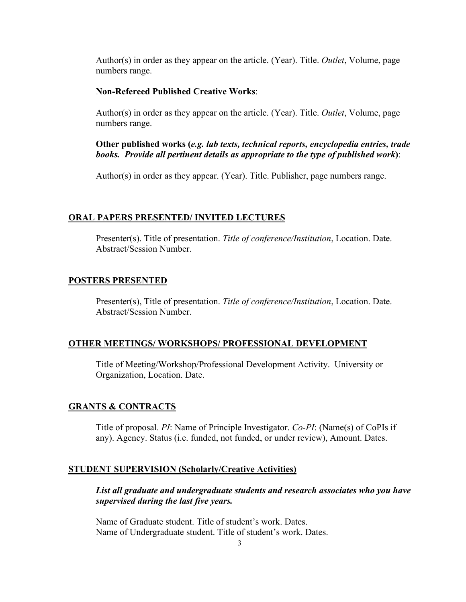Author(s) in order as they appear on the article. (Year). Title. *Outlet*, Volume, page numbers range.

## **Non-Refereed Published Creative Works**:

Author(s) in order as they appear on the article. (Year). Title. *Outlet*, Volume, page numbers range.

**Other published works (***e.g. lab texts, technical reports, encyclopedia entries, trade books. Provide all pertinent details as appropriate to the type of published work***)**:

Author(s) in order as they appear. (Year). Title. Publisher, page numbers range.

#### **ORAL PAPERS PRESENTED/ INVITED LECTURES**

Presenter(s). Title of presentation. *Title of conference/Institution*, Location. Date. Abstract/Session Number.

#### **POSTERS PRESENTED**

Presenter(s), Title of presentation. *Title of conference/Institution*, Location. Date. Abstract/Session Number.

#### **OTHER MEETINGS/ WORKSHOPS/ PROFESSIONAL DEVELOPMENT**

Title of Meeting/Workshop/Professional Development Activity. University or Organization, Location. Date.

## **GRANTS & CONTRACTS**

Title of proposal. *PI*: Name of Principle Investigator. *Co-PI*: (Name(s) of CoPIs if any). Agency. Status (i.e. funded, not funded, or under review), Amount. Dates.

#### **STUDENT SUPERVISION (Scholarly/Creative Activities)**

*List all graduate and undergraduate students and research associates who you have supervised during the last five years.*

Name of Graduate student. Title of student's work. Dates. Name of Undergraduate student. Title of student's work. Dates.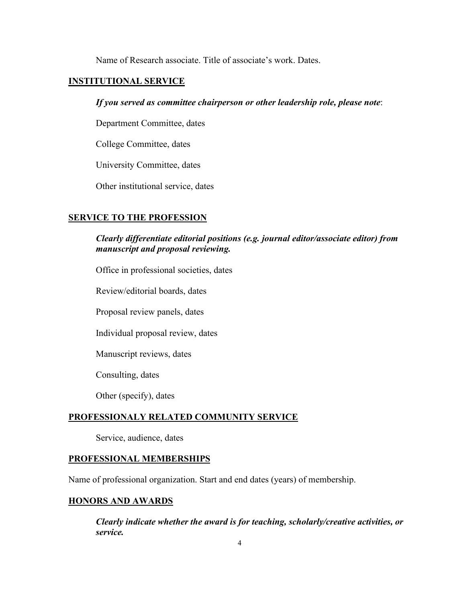Name of Research associate. Title of associate's work. Dates.

## **INSTITUTIONAL SERVICE**

## *If you served as committee chairperson or other leadership role, please note*:

Department Committee, dates

College Committee, dates

University Committee, dates

Other institutional service, dates

### **SERVICE TO THE PROFESSION**

# *Clearly differentiate editorial positions (e.g. journal editor/associate editor) from manuscript and proposal reviewing.*

Office in professional societies, dates

Review/editorial boards, dates

Proposal review panels, dates

Individual proposal review, dates

Manuscript reviews, dates

Consulting, dates

Other (specify), dates

# **PROFESSIONALY RELATED COMMUNITY SERVICE**

Service, audience, dates

#### **PROFESSIONAL MEMBERSHIPS**

Name of professional organization. Start and end dates (years) of membership.

### **HONORS AND AWARDS**

*Clearly indicate whether the award is for teaching, scholarly/creative activities, or service.*